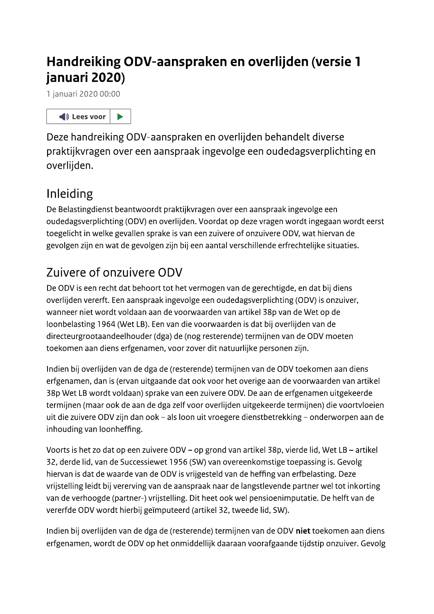# Handreiking ODV-aanspraken en overlijden (versie 1 januari 2020)

1 januari 2020 00:00



Deze handreiking ODV-aanspraken en overlijden behandelt diverse praktijkvragen over een aanspraak ingevolge een oudedagsverplichting en overlijden.

# Inleiding

De Belastingdienst beantwoordt praktijkvragen over een aanspraak ingevolge een oudedagsverplichting (ODV) en overlijden. Voordat op deze vragen wordt ingegaan wordt eerst toegelicht in welke gevallen sprake is van een zuivere of onzuivere ODV, wat hiervan de gevolgen zijn en wat de gevolgen zijn bij een aantal verschillende erfrechtelijke situaties.

# Zuivere of onzuivere ODV

De ODV is een recht dat behoort tot het vermogen van de gerechtigde, en dat bij diens overlijden vererft. Een aanspraak ingevolge een oudedagsverplichting (ODV) is onzuiver, wanneer niet wordt voldaan aan de voorwaarden van artikel 38p van de Wet op de loonbelasting 1964 (Wet LB). Een van die voorwaarden is dat bij overlijden van de directeurgrootaandeelhouder (dga) de (nog resterende) termijnen van de ODV moeten toekomen aan diens erfgenamen, voor zover dit natuurlijke personen zijn.

Indien bij overlijden van de dga de (resterende) termijnen van de ODV toekomen aan diens erfgenamen, dan is (ervan uitgaande dat ook voor het overige aan de voorwaarden van artikel 38p Wet LB wordt voldaan) sprake van een zuivere ODV. De aan de erfgenamen uitgekeerde termijnen (maar ook de aan de dga zelf voor overlijden uitgekeerde termijnen) die voortvloeien uit die zuivere ODV zijn dan ook - als loon uit vroegere dienstbetrekking - onderworpen aan de inhouding van loonheffing.

Voorts is het zo dat op een zuivere ODV - op grond van artikel 38p, vierde lid, Wet LB - artikel 32, derde lid, van de Successiewet 1956 (SW) van overeenkomstige toepassing is. Gevolg hiervan is dat de waarde van de ODV is vrijgesteld van de heffing van erfbelasting. Deze vrijstelling leidt bij vererving van de aanspraak naar de langstlevende partner wel tot inkorting van de verhoogde (partner-) vrijstelling. Dit heet ook wel pensioenimputatie. De helft van de vererfde ODV wordt hierbij geïmputeerd (artikel 32, tweede lid, SW).

Indien bij overlijden van de dga de (resterende) termijnen van de ODV niet toekomen aan diens erfgenamen, wordt de ODV op het onmiddellijk daaraan voorafgaande tijdstip onzuiver. Gevolg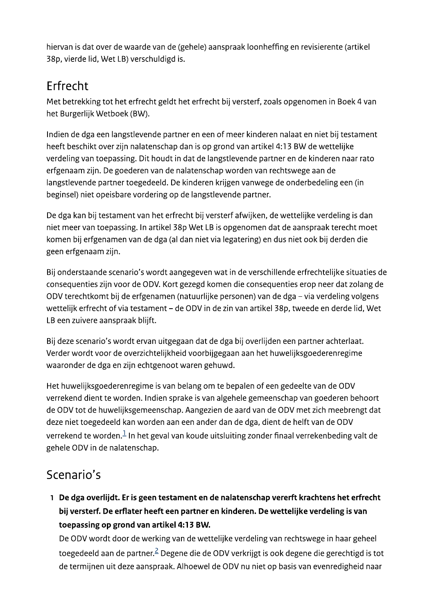hiervan is dat over de waarde van de (gehele) aanspraak loonheffing en revisierente (artikel 38p, vierde lid, Wet LB) verschuldigd is.

# Erfrecht

Met betrekking tot het erfrecht geldt het erfrecht bij versterf, zoals opgenomen in Boek 4 van het Burgerlijk Wetboek (BW).

Indien de dga een langstlevende partner en een of meer kinderen nalaat en niet bij testament heeft beschikt over zijn nalatenschap dan is op grond van artikel 4:13 BW de wettelijke verdeling van toepassing. Dit houdt in dat de langstlevende partner en de kinderen naar rato erfgenaam zijn. De goederen van de nalatenschap worden van rechtswege aan de langstlevende partner toegedeeld. De kinderen krijgen vanwege de onderbedeling een (in beginsel) niet opeisbare vordering op de langstlevende partner.

De dga kan bij testament van het erfrecht bij versterf afwijken, de wettelijke verdeling is dan niet meer van toepassing. In artikel 38p Wet LB is opgenomen dat de aanspraak terecht moet komen bij erfgenamen van de dga (al dan niet via legatering) en dus niet ook bij derden die geen erfgenaam zijn.

Bij onderstaande scenario's wordt aangegeven wat in de verschillende erfrechtelijke situaties de consequenties zijn voor de ODV. Kort gezegd komen die consequenties erop neer dat zolang de ODV terechtkomt bij de erfgenamen (natuurlijke personen) van de dga - via verdeling volgens wettelijk erfrecht of via testament - de ODV in de zin van artikel 38p, tweede en derde lid, Wet LB een zuivere aanspraak blijft.

Bij deze scenario's wordt ervan uitgegaan dat de dga bij overlijden een partner achterlaat. Verder wordt voor de overzichtelijkheid voorbijgegaan aan het huwelijksgoederenregime waaronder de dga en zijn echtgenoot waren gehuwd.

Het huwelijksgoederenregime is van belang om te bepalen of een gedeelte van de ODV verrekend dient te worden. Indien sprake is van algehele gemeenschap van goederen behoort de ODV tot de huwelijksgemeenschap. Aangezien de aard van de ODV met zich meebrengt dat deze niet toegedeeld kan worden aan een ander dan de dga, dient de helft van de ODV verrekend te worden. $1$  In het geval van koude uitsluiting zonder finaal verrekenbeding valt de gehele ODV in de nalatenschap.

# Scenario's

1 De dga overlijdt. Er is geen testament en de nalatenschap vererft krachtens het erfrecht bij versterf. De erflater heeft een partner en kinderen. De wettelijke verdeling is van toepassing op grond van artikel 4:13 BW.

De ODV wordt door de werking van de wettelijke verdeling van rechtswege in haar geheel toegedeeld aan de partner.<sup>2</sup> Degene die de ODV verkrijgt is ook degene die gerechtigd is tot de termijnen uit deze aanspraak. Alhoewel de ODV nu niet op basis van evenredigheid naar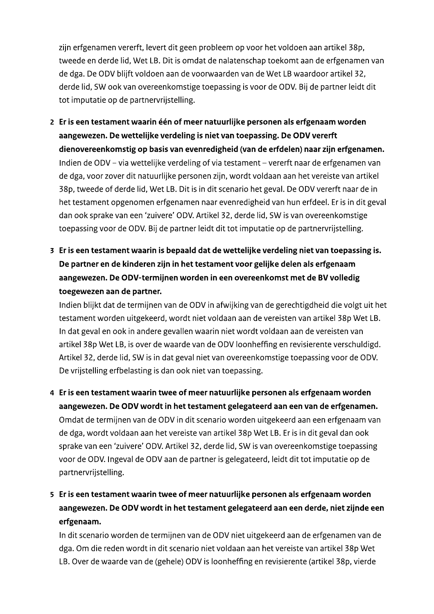zijn erfgenamen vererft, levert dit geen probleem op voor het voldoen aan artikel 38p, tweede en derde lid, Wet LB. Dit is omdat de nalatenschap toekomt aan de erfgenamen van de dga. De ODV blijft voldoen aan de voorwaarden van de Wet LB waardoor artikel 32, derde lid, SW ook van overeenkomstige toepassing is voor de ODV. Bij de partner leidt dit tot imputatie op de partnervrijstelling.

- 2 Er is een testament waarin één of meer natuurlijke personen als erfgenaam worden aangewezen. De wettelijke verdeling is niet van toepassing. De ODV vererft dienovereenkomstig op basis van evenredigheid (van de erfdelen) naar zijn erfgenamen. Indien de ODV – via wettelijke verdeling of via testament – vererft naar de erfgenamen van de dga, voor zover dit natuurlijke personen zijn, wordt voldaan aan het vereiste van artikel 38p, tweede of derde lid, Wet LB. Dit is in dit scenario het geval. De ODV vererft naar de in het testament opgenomen erfgenamen naar evenredigheid van hun erfdeel. Er is in dit geval dan ook sprake van een 'zuivere' ODV. Artikel 32, derde lid, SW is van overeenkomstige toepassing voor de ODV. Bij de partner leidt dit tot imputatie op de partnervrijstelling.
- 3 Er is een testament waarin is bepaald dat de wettelijke verdeling niet van toepassing is. De partner en de kinderen zijn in het testament voor gelijke delen als erfgenaam aangewezen. De ODV-termijnen worden in een overeenkomst met de BV volledig toegewezen aan de partner.

Indien blijkt dat de termijnen van de ODV in afwijking van de gerechtigdheid die volgt uit het testament worden uitgekeerd, wordt niet voldaan aan de vereisten van artikel 38p Wet LB. In dat geval en ook in andere gevallen waarin niet wordt voldaan aan de vereisten van artikel 38p Wet LB, is over de waarde van de ODV loonheffing en revisierente verschuldigd. Artikel 32, derde lid, SW is in dat geval niet van overeenkomstige toepassing voor de ODV. De vrijstelling erfbelasting is dan ook niet van toepassing.

- 4 Er is een testament waarin twee of meer natuurlijke personen als erfgenaam worden aangewezen. De ODV wordt in het testament gelegateerd aan een van de erfgenamen. Omdat de termijnen van de ODV in dit scenario worden uitgekeerd aan een erfgenaam van de dga, wordt voldaan aan het vereiste van artikel 38p Wet LB. Er is in dit geval dan ook sprake van een 'zuivere' ODV. Artikel 32, derde lid, SW is van overeenkomstige toepassing voor de ODV. Ingeval de ODV aan de partner is gelegateerd, leidt dit tot imputatie op de partnervrijstelling.
- 5 Er is een testament waarin twee of meer natuurlijke personen als erfgenaam worden aangewezen. De ODV wordt in het testament gelegateerd aan een derde, niet zijnde een erfgenaam.

In dit scenario worden de termijnen van de ODV niet uitgekeerd aan de erfgenamen van de dga. Om die reden wordt in dit scenario niet voldaan aan het vereiste van artikel 38p Wet LB. Over de waarde van de (gehele) ODV is loonheffing en revisierente (artikel 38p, vierde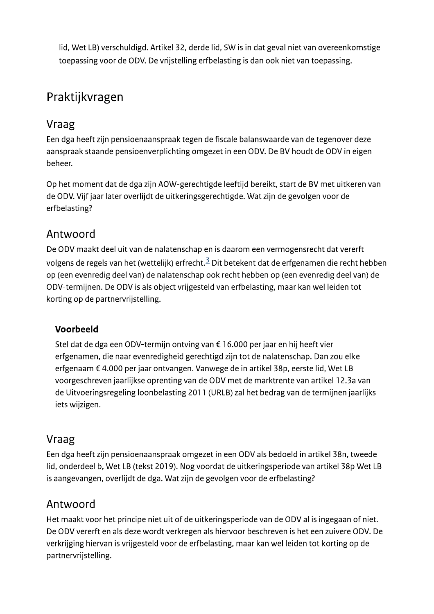lid, Wet LB) verschuldigd. Artikel 32, derde lid, SW is in dat geval niet van overeenkomstige toepassing voor de ODV. De vrijstelling erfbelasting is dan ook niet van toepassing.

# Praktijkvragen

## Vraag

Een dga heeft zijn pensioenaanspraak tegen de fiscale balanswaarde van de tegenover deze aanspraak staande pensioenverplichting omgezet in een ODV. De BV houdt de ODV in eigen beheer.

Op het moment dat de dga zijn AOW-gerechtigde leeftijd bereikt, start de BV met uitkeren van de ODV. Vijf jaar later overlijdt de uitkeringsgerechtigde. Wat zijn de gevolgen voor de erfbelasting?

## Antwoord

De ODV maakt deel uit van de nalatenschap en is daarom een vermogensrecht dat vererft volgens de regels van het (wettelijk) erfrecht.<sup>3</sup> Dit betekent dat de erfgenamen die recht hebben op (een evenredig deel van) de nalatenschap ook recht hebben op (een evenredig deel van) de ODV-termijnen. De ODV is als object vrijgesteld van erfbelasting, maar kan wel leiden tot korting op de partnervrijstelling.

#### Voorbeeld

Stel dat de dga een ODV-termijn ontving van € 16.000 per jaar en hij heeft vier erfgenamen, die naar evenredigheid gerechtigd zijn tot de nalatenschap. Dan zou elke erfgenaam € 4.000 per jaar ontvangen. Vanwege de in artikel 38p, eerste lid, Wet LB voorgeschreven jaarlijkse oprenting van de ODV met de marktrente van artikel 12.3a van de Uitvoeringsregeling loonbelasting 2011 (URLB) zal het bedrag van de termijnen jaarlijks iets wijzigen.

## Vraag

Een dga heeft zijn pensioenaanspraak omgezet in een ODV als bedoeld in artikel 38n, tweede lid, onderdeel b, Wet LB (tekst 2019). Nog voordat de uitkeringsperiode van artikel 38p Wet LB is aangevangen, overlijdt de dga. Wat zijn de gevolgen voor de erfbelasting?

## Antwoord

Het maakt voor het principe niet uit of de uitkeringsperiode van de ODV al is ingegaan of niet. De ODV vererft en als deze wordt verkregen als hiervoor beschreven is het een zuivere ODV. De verkrijging hiervan is vrijgesteld voor de erfbelasting, maar kan wel leiden tot korting op de partnervrijstelling.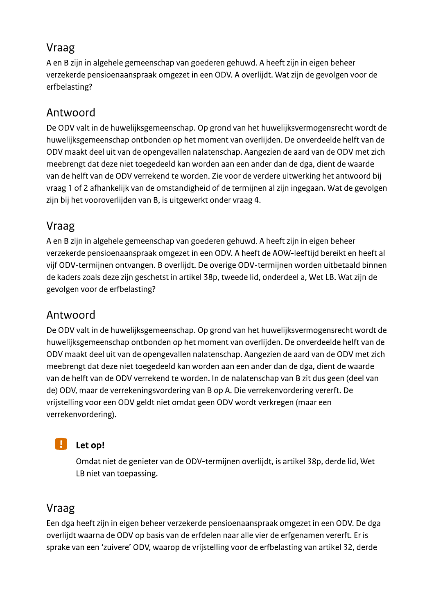# Vraag

A en B zijn in algehele gemeenschap van goederen gehuwd. A heeft zijn in eigen beheer verzekerde pensioenaanspraak omgezet in een ODV. A overlijdt. Wat zijn de gevolgen voor de erfbelasting?

# Antwoord

De ODV valt in de huwelijksgemeenschap. Op grond van het huwelijksvermogensrecht wordt de huwelijksgemeenschap ontbonden op het moment van overlijden. De onverdeelde helft van de ODV maakt deel uit van de opengevallen nalatenschap. Aangezien de aard van de ODV met zich meebrengt dat deze niet toegedeeld kan worden aan een ander dan de dga, dient de waarde van de helft van de ODV verrekend te worden. Zie voor de verdere uitwerking het antwoord bij vraag 1 of 2 afhankelijk van de omstandigheid of de termijnen al zijn ingegaan. Wat de gevolgen zijn bij het vooroverlijden van B, is uitgewerkt onder vraag 4.

# Vraag

A en B zijn in algehele gemeenschap van goederen gehuwd. A heeft zijn in eigen beheer verzekerde pensioenaanspraak omgezet in een ODV. A heeft de AOW-leeftijd bereikt en heeft al vijf ODV-termijnen ontvangen. B overlijdt. De overige ODV-termijnen worden uitbetaald binnen de kaders zoals deze zijn geschetst in artikel 38p, tweede lid, onderdeel a, Wet LB. Wat zijn de gevolgen voor de erfbelasting?

## Antwoord

De ODV valt in de huwelijksgemeenschap. Op grond van het huwelijksvermogensrecht wordt de huwelijksgemeenschap ontbonden op het moment van overlijden. De onverdeelde helft van de ODV maakt deel uit van de opengevallen nalatenschap. Aangezien de aard van de ODV met zich meebrengt dat deze niet toegedeeld kan worden aan een ander dan de dga, dient de waarde van de helft van de ODV verrekend te worden. In de nalatenschap van B zit dus geen (deel van de) ODV, maar de verrekeningsvordering van B op A. Die verrekenvordering vererft. De vrijstelling voor een ODV geldt niet omdat geen ODV wordt verkregen (maar een verrekenvordering).



#### Let op!

Omdat niet de genieter van de ODV-termijnen overlijdt, is artikel 38p, derde lid, Wet LB niet van toepassing.

## Vraag

Een dga heeft zijn in eigen beheer verzekerde pensioenaanspraak omgezet in een ODV. De dga overlijdt waarna de ODV op basis van de erfdelen naar alle vier de erfgenamen vererft. Er is sprake van een 'zuivere' ODV, waarop de vrijstelling voor de erfbelasting van artikel 32, derde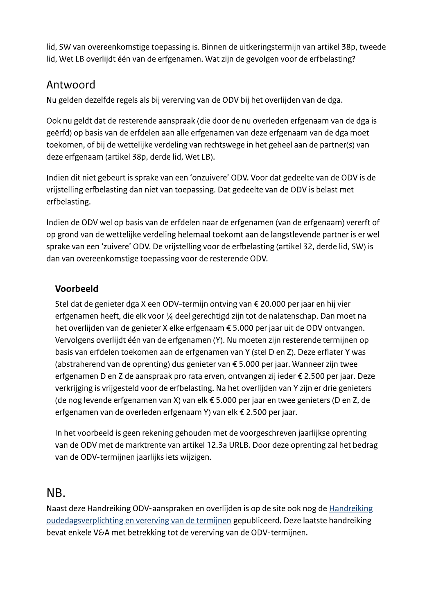lid, SW van overeenkomstige toepassing is. Binnen de uitkeringstermijn van artikel 38p, tweede lid, Wet LB overlijdt één van de erfgenamen. Wat zijn de gevolgen voor de erfbelasting?

## Antwoord

Nu gelden dezelfde regels als bij vererving van de ODV bij het overlijden van de dga.

Ook nu geldt dat de resterende aanspraak (die door de nu overleden erfgenaam van de dga is geërfd) op basis van de erfdelen aan alle erfgenamen van deze erfgenaam van de dga moet toekomen, of bij de wettelijke verdeling van rechtswege in het geheel aan de partner(s) van deze erfgenaam (artikel 38p, derde lid, Wet LB).

Indien dit niet gebeurt is sprake van een 'onzuivere' ODV. Voor dat gedeelte van de ODV is de vrijstelling erfbelasting dan niet van toepassing. Dat gedeelte van de ODV is belast met erfbelasting.

Indien de ODV wel op basis van de erfdelen naar de erfgenamen (van de erfgenaam) vererft of op grond van de wettelijke verdeling helemaal toekomt aan de langstlevende partner is er wel sprake van een 'zuivere' ODV. De vrijstelling voor de erfbelasting (artikel 32, derde lid, SW) is dan van overeenkomstige toepassing voor de resterende ODV.

#### Voorbeeld

Stel dat de genieter dga X een ODV-termijn ontving van € 20.000 per jaar en hij vier erfgenamen heeft, die elk voor 1/4 deel gerechtigd zijn tot de nalatenschap. Dan moet na het overlijden van de genieter X elke erfgenaam € 5.000 per jaar uit de ODV ontvangen. Vervolgens overlijdt één van de erfgenamen (Y). Nu moeten zijn resterende termijnen op basis van erfdelen toekomen aan de erfgenamen van Y (stel D en Z). Deze erflater Y was (abstraherend van de oprenting) dus genieter van € 5.000 per jaar. Wanneer zijn twee erfgenamen D en Z de aanspraak pro rata erven, ontvangen zij ieder € 2.500 per jaar. Deze verkrijging is vrijgesteld voor de erfbelasting. Na het overlijden van Y zijn er drie genieters (de nog levende erfgenamen van X) van elk € 5.000 per jaar en twee genieters (D en Z, de erfgenamen van de overleden erfgenaam Y) van elk € 2.500 per jaar.

In het voorbeeld is geen rekening gehouden met de voorgeschreven jaarlijkse oprenting van de ODV met de marktrente van artikel 12.3a URLB. Door deze oprenting zal het bedrag van de ODV-termijnen jaarlijks iets wijzigen.

## NB.

Naast deze Handreiking ODV-aanspraken en overlijden is op de site ook nog de Handreiking oudedagsverplichting en vererving van de termijnen gepubliceerd. Deze laatste handreiking bevat enkele V&A met betrekking tot de vererving van de ODV-termijnen.